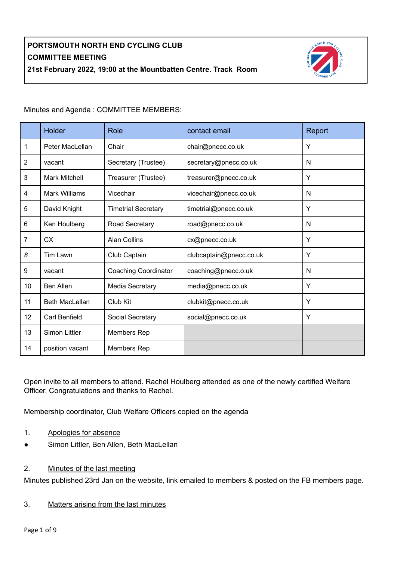

Minutes and Agenda : COMMITTEE MEMBERS:

|                | Holder                | Role                        | contact email           | Report |
|----------------|-----------------------|-----------------------------|-------------------------|--------|
| 1              | Peter MacLellan       | Chair                       | chair@pnecc.co.uk       | Y      |
| $\overline{2}$ | vacant                | Secretary (Trustee)         | secretary@pnecc.co.uk   | N      |
| 3              | <b>Mark Mitchell</b>  | Treasurer (Trustee)         | treasurer@pnecc.co.uk   | Y      |
| $\overline{4}$ | Mark Williams         | Vicechair                   | vicechair@pnecc.co.uk   | N      |
| 5              | David Knight          | <b>Timetrial Secretary</b>  | timetrial@pnecc.co.uk   | Y      |
| $6\phantom{1}$ | Ken Houlberg          | Road Secretary              | road@pnecc.co.uk        | N      |
| $\overline{7}$ | <b>CX</b>             | <b>Alan Collins</b>         | cx@pnecc.co.uk          | Y      |
| 8              | Tim Lawn              | Club Captain                | clubcaptain@pnecc.co.uk | Y      |
| 9              | vacant                | <b>Coaching Coordinator</b> | coaching@pnecc.o.uk     | N      |
| 10             | <b>Ben Allen</b>      | Media Secretary             | media@pnecc.co.uk       | Y      |
| 11             | <b>Beth MacLellan</b> | Club Kit                    | clubkit@pnecc.co.uk     | Y      |
| 12             | Carl Benfield         | Social Secretary            | social@pnecc.co.uk      | Y      |
| 13             | Simon Littler         | Members Rep                 |                         |        |
| 14             | position vacant       | Members Rep                 |                         |        |

Open invite to all members to attend. Rachel Houlberg attended as one of the newly certified Welfare Officer. Congratulations and thanks to Rachel.

Membership coordinator, Club Welfare Officers copied on the agenda

- 1. Apologies for absence
- Simon Littler, Ben Allen, Beth MacLellan
- 2. Minutes of the last meeting

Minutes published 23rd Jan on the website, link emailed to members & posted on the FB members page.

### 3. Matters arising from the last minutes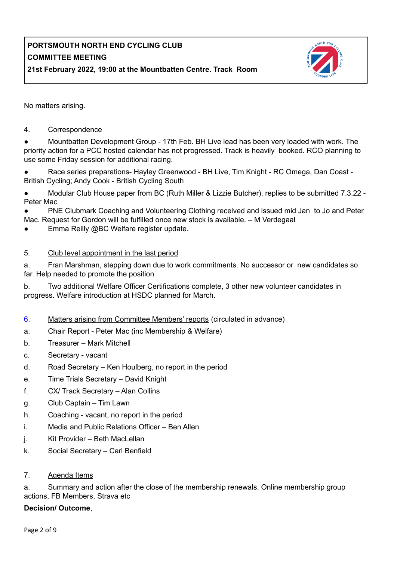

No matters arising.

#### 4. Correspondence

Mountbatten Development Group - 17th Feb. BH Live lead has been very loaded with work. The priority action for a PCC hosted calendar has not progressed. Track is heavily booked. RCO planning to use some Friday session for additional racing.

Race series preparations- Hayley Greenwood - BH Live, Tim Knight - RC Omega, Dan Coast -British Cycling; Andy Cook - British Cycling South

Modular Club House paper from BC (Ruth Miller & Lizzie Butcher), replies to be submitted 7.3.22 -Peter Mac

PNE Clubmark Coaching and Volunteering Clothing received and issued mid Jan to Jo and Peter Mac. Request for Gordon will be fulfilled once new stock is available. – M Verdegaal

Emma Reilly @BC Welfare register update.

#### 5. Club level appointment in the last period

a. Fran Marshman, stepping down due to work commitments. No successor or new candidates so far. Help needed to promote the position

b. Two additional Welfare Officer Certifications complete, 3 other new volunteer candidates in progress. Welfare introduction at HSDC planned for March.

- 6. Matters arising from Committee Members' reports (circulated in advance)
- a. Chair Report Peter Mac (inc Membership & Welfare)
- b. Treasurer Mark Mitchell
- c. Secretary vacant
- d. Road Secretary Ken Houlberg, no report in the period
- e. Time Trials Secretary David Knight
- f. CX/ Track Secretary Alan Collins
- g. Club Captain Tim Lawn
- h. Coaching vacant, no report in the period
- i. Media and Public Relations Officer Ben Allen
- j. Kit Provider Beth MacLellan
- k. Social Secretary Carl Benfield
- 7. Agenda Items

a. Summary and action after the close of the membership renewals. Online membership group actions, FB Members, Strava etc

#### **Decision/ Outcome**,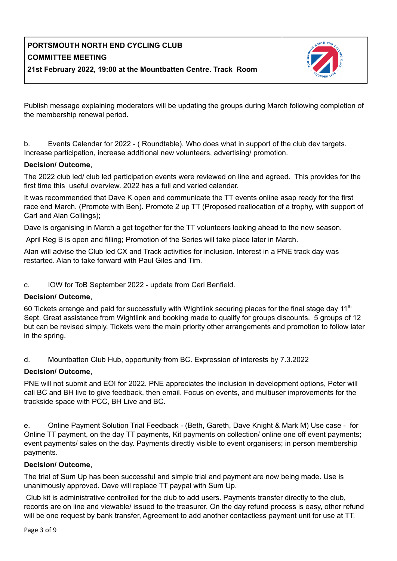

Publish message explaining moderators will be updating the groups during March following completion of the membership renewal period.

b. Events Calendar for 2022 - ( Roundtable). Who does what in support of the club dev targets. Increase participation, increase additional new volunteers, advertising/ promotion.

### **Decision/ Outcome**,

The 2022 club led/ club led participation events were reviewed on line and agreed. This provides for the first time this useful overview. 2022 has a full and varied calendar.

It was recommended that Dave K open and communicate the TT events online asap ready for the first race end March. (Promote with Ben). Promote 2 up TT (Proposed reallocation of a trophy, with support of Carl and Alan Collings);

Dave is organising in March a get together for the TT volunteers looking ahead to the new season.

April Reg B is open and filling; Promotion of the Series will take place later in March.

Alan will advise the Club led CX and Track activities for inclusion. Interest in a PNE track day was restarted. Alan to take forward with Paul Giles and Tim.

c. IOW for ToB September 2022 - update from Carl Benfield.

### **Decision/ Outcome**,

60 Tickets arrange and paid for successfully with Wightlink securing places for the final stage day 11<sup>th</sup> Sept. Great assistance from Wightlink and booking made to qualify for groups discounts. 5 groups of 12 but can be revised simply. Tickets were the main priority other arrangements and promotion to follow later in the spring.

d. Mountbatten Club Hub, opportunity from BC. Expression of interests by 7.3.2022

### **Decision/ Outcome**,

PNE will not submit and EOI for 2022. PNE appreciates the inclusion in development options, Peter will call BC and BH live to give feedback, then email. Focus on events, and multiuser improvements for the trackside space with PCC, BH Live and BC.

e. Online Payment Solution Trial Feedback - (Beth, Gareth, Dave Knight & Mark M) Use case - for Online TT payment, on the day TT payments, Kit payments on collection/ online one off event payments; event payments/ sales on the day. Payments directly visible to event organisers; in person membership payments.

### **Decision/ Outcome**,

The trial of Sum Up has been successful and simple trial and payment are now being made. Use is unanimously approved. Dave will replace TT paypal with Sum Up.

Club kit is administrative controlled for the club to add users. Payments transfer directly to the club, records are on line and viewable/ issued to the treasurer. On the day refund process is easy, other refund will be one request by bank transfer, Agreement to add another contactless payment unit for use at TT.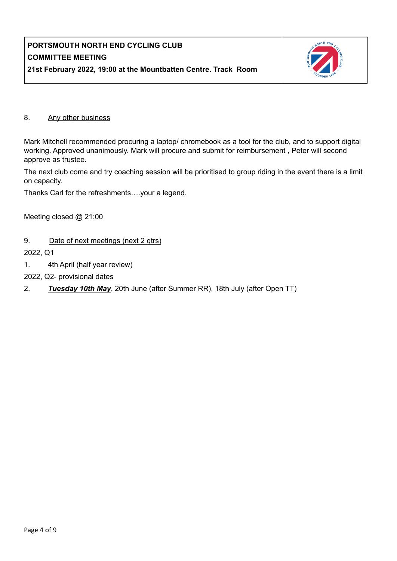

#### 8. Any other business

Mark Mitchell recommended procuring a laptop/ chromebook as a tool for the club, and to support digital working. Approved unanimously. Mark will procure and submit for reimbursement , Peter will second approve as trustee.

The next club come and try coaching session will be prioritised to group riding in the event there is a limit on capacity.

Thanks Carl for the refreshments….your a legend.

Meeting closed @ 21:00

9. Date of next meetings (next 2 gtrs)

2022, Q1

- 1. 4th April (half year review)
- 2022, Q2- provisional dates
- 2. *Tuesday 10th May*, 20th June (after Summer RR), 18th July (after Open TT)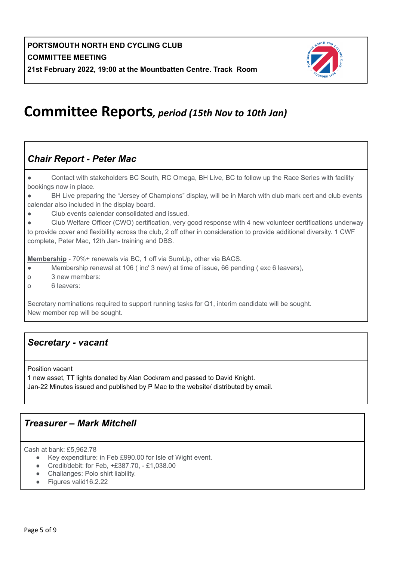

# **Committee Reports***, period (15th Nov to 10th Jan)*

## *Chair Report - Peter Mac*

● Contact with stakeholders BC South, RC Omega, BH Live, BC to follow up the Race Series with facility bookings now in place.

● BH Live preparing the "Jersey of Champions" display, will be in March with club mark cert and club events calendar also included in the display board.

● Club events calendar consolidated and issued.

Club Welfare Officer (CWO) certification, very good response with 4 new volunteer certifications underway to provide cover and flexibility across the club, 2 off other in consideration to provide additional diversity. 1 CWF complete, Peter Mac, 12th Jan- training and DBS.

**Membership** - 70%+ renewals via BC, 1 off via SumUp, other via BACS.

- Membership renewal at 106 ( inc' 3 new) at time of issue, 66 pending ( exc 6 leavers),
- o 3 new members:
- o 6 leavers:

Secretary nominations required to support running tasks for Q1, interim candidate will be sought. New member rep will be sought.

### *Secretary - vacant*

Position vacant

1 new asset, TT lights donated by Alan Cockram and passed to David Knight. Jan-22 Minutes issued and published by P Mac to the website/ distributed by email.

### *Treasurer – Mark Mitchell*

Cash at bank: £5,962.78

- Key expenditure: in Feb £990.00 for Isle of Wight event.
- Credit/debit: for Feb, +£387.70, £1,038.00
- Challanges: Polo shirt liability.
- Figures valid16.2.22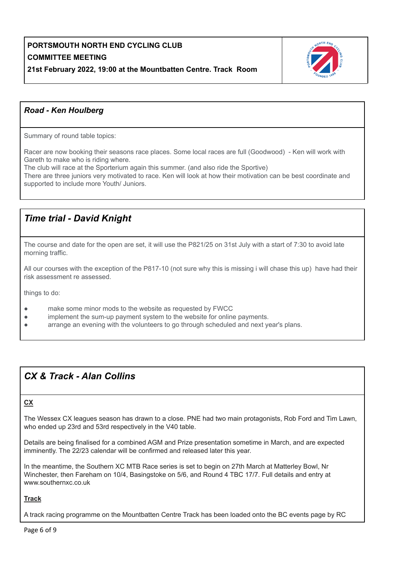

### *Road - Ken Houlberg*

Summary of round table topics:

Racer are now booking their seasons race places. Some local races are full (Goodwood) - Ken will work with Gareth to make who is riding where.

The club will race at the Sporterium again this summer. (and also ride the Sportive)

There are three juniors very motivated to race. Ken will look at how their motivation can be best coordinate and supported to include more Youth/ Juniors.

## *Time trial - David Knight*

The course and date for the open are set, it will use the P821/25 on 31st July with a start of 7:30 to avoid late morning traffic.

All our courses with the exception of the P817-10 (not sure why this is missing i will chase this up) have had their risk assessment re assessed.

things to do:

- make some minor mods to the website as requested by FWCC
- implement the sum-up payment system to the website for online payments.
- arrange an evening with the volunteers to go through scheduled and next year's plans.

## *CX & Track - Alan Collins*

#### **CX**

The Wessex CX leagues season has drawn to a close. PNE had two main protagonists, Rob Ford and Tim Lawn, who ended up 23rd and 53rd respectively in the V40 table.

Details are being finalised for a combined AGM and Prize presentation sometime in March, and are expected imminently. The 22/23 calendar will be confirmed and released later this year.

In the meantime, the Southern XC MTB Race series is set to begin on 27th March at Matterley Bowl, Nr Winchester, then Fareham on 10/4, Basingstoke on 5/6, and Round 4 TBC 17/7. Full details and entry at www.southernxc.co.uk

#### **Track**

A track racing programme on the Mountbatten Centre Track has been loaded onto the BC events page by RC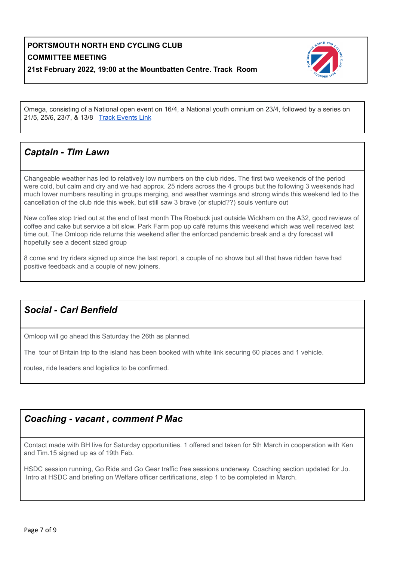

Omega, consisting of a National open event on 16/4, a National youth omnium on 23/4, followed by a series on 21/5, 25/6, 23/7, & 13/8 Track [Events](https://www.britishcycling.org.uk/events?keywords=&view=off&distance=20&postcode=Portsmouth&fromdate=21%2F02%2F2022&todate=21%2F02%2F2023&gender=&day_of_week%5B%5D=1&day_of_week%5B%5D=2&day_of_week%5B%5D=3&day_of_week%5B%5D=4&day_of_week%5B%5D=5&day_of_week%5B%5D=6&day_of_week%5B%5D=7&race_duration_min=&race_duration_max=&resultsperpage=30&series_only=0&online_entry_only=0&zuv_bc_event_filter_id%5B%5D=29&save-filter-name=) Link

## *Captain - Tim Lawn*

Changeable weather has led to relatively low numbers on the club rides. The first two weekends of the period were cold, but calm and dry and we had approx. 25 riders across the 4 groups but the following 3 weekends had much lower numbers resulting in groups merging, and weather warnings and strong winds this weekend led to the cancellation of the club ride this week, but still saw 3 brave (or stupid??) souls venture out

New coffee stop tried out at the end of last month The Roebuck just outside Wickham on the A32, good reviews of coffee and cake but service a bit slow. Park Farm pop up café returns this weekend which was well received last time out. The Omloop ride returns this weekend after the enforced pandemic break and a dry forecast will hopefully see a decent sized group

8 come and try riders signed up since the last report, a couple of no shows but all that have ridden have had positive feedback and a couple of new joiners.

## *Social - Carl Benfield*

Omloop will go ahead this Saturday the 26th as planned.

The tour of Britain trip to the island has been booked with white link securing 60 places and 1 vehicle.

routes, ride leaders and logistics to be confirmed.

### *Coaching - vacant , comment P Mac*

Contact made with BH live for Saturday opportunities. 1 offered and taken for 5th March in cooperation with Ken and Tim.15 signed up as of 19th Feb.

HSDC session running, Go Ride and Go Gear traffic free sessions underway. Coaching section updated for Jo. Intro at HSDC and briefing on Welfare officer certifications, step 1 to be completed in March.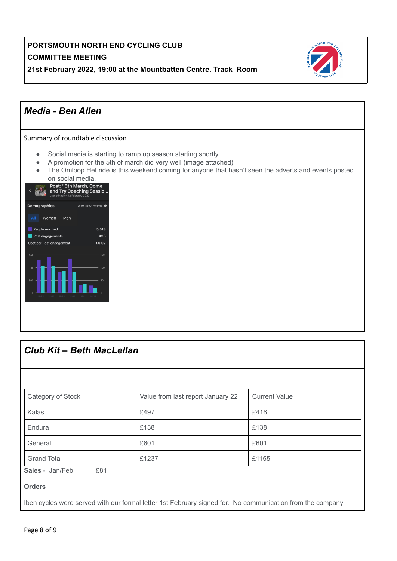



| <b>Club Kit - Beth MacLellan</b> |                                   |                      |  |  |  |  |
|----------------------------------|-----------------------------------|----------------------|--|--|--|--|
|                                  |                                   |                      |  |  |  |  |
| Category of Stock                | Value from last report January 22 | <b>Current Value</b> |  |  |  |  |
| Kalas                            | £497                              | £416                 |  |  |  |  |
| Endura                           | £138                              | £138                 |  |  |  |  |
| General                          | £601                              | £601                 |  |  |  |  |
| <b>Grand Total</b>               | £1237                             | £1155                |  |  |  |  |
| Sales - Jan/Feb<br>£81           |                                   |                      |  |  |  |  |
| <b>Orders</b>                    |                                   |                      |  |  |  |  |

Iben cycles were served with our formal letter 1st February signed for. No communication from the company